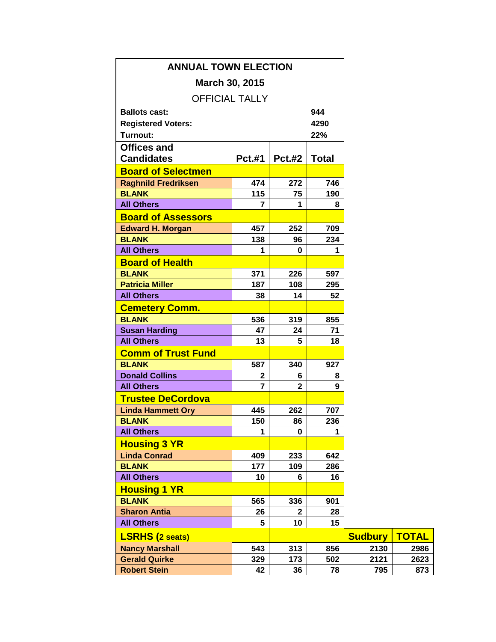| <b>ANNUAL TOWN ELECTION</b> |                |               |              |                |              |
|-----------------------------|----------------|---------------|--------------|----------------|--------------|
| March 30, 2015              |                |               |              |                |              |
| <b>OFFICIAL TALLY</b>       |                |               |              |                |              |
| <b>Ballots cast:</b>        | 944            |               |              |                |              |
| <b>Registered Voters:</b>   |                |               | 4290         |                |              |
| Turnout:                    |                |               | 22%          |                |              |
| <b>Offices and</b>          |                |               |              |                |              |
| <b>Candidates</b>           | <b>Pct.#1</b>  | <b>Pct.#2</b> | <b>Total</b> |                |              |
| <b>Board of Selectmen</b>   |                |               |              |                |              |
| <b>Raghnild Fredriksen</b>  | 474            | 272           | 746          |                |              |
| <b>BLANK</b>                | 115            | 75            | 190          |                |              |
| <b>All Others</b>           | 7              | 1             | 8            |                |              |
| <b>Board of Assessors</b>   |                |               |              |                |              |
| <b>Edward H. Morgan</b>     | 457            | 252           | 709          |                |              |
| <b>BLANK</b>                | 138            | 96            | 234          |                |              |
| <b>All Others</b>           | 1              | 0             | 1            |                |              |
| <b>Board of Health</b>      |                |               |              |                |              |
| <b>BLANK</b>                | 371            | 226           | 597          |                |              |
| <b>Patricia Miller</b>      | 187            | 108           | 295          |                |              |
| <b>All Others</b>           | 38             | 14            | 52           |                |              |
| <b>Cemetery Comm.</b>       |                |               |              |                |              |
| <b>BLANK</b>                | 536            | 319           | 855          |                |              |
| <b>Susan Harding</b>        | 47             | 24            | 71           |                |              |
| <b>All Others</b>           | 13             | 5             | 18           |                |              |
| <b>Comm of Trust Fund</b>   |                |               |              |                |              |
| <b>BLANK</b>                | 587            | 340           | 927          |                |              |
| <b>Donald Collins</b>       | $\mathbf{2}$   | 6             | 8            |                |              |
| <b>All Others</b>           | $\overline{7}$ | $\mathbf{2}$  | 9            |                |              |
| <b>Trustee DeCordova</b>    |                |               |              |                |              |
| <b>Linda Hammett Ory</b>    | 445            | 262           | 707          |                |              |
| <b>BLANK</b>                | 150            | 86            | 236          |                |              |
| <b>All Others</b>           | 1              | 0             | 1            |                |              |
| <b>Housing 3 YR</b>         |                |               |              |                |              |
| <b>Linda Conrad</b>         | 409            | 233           | 642          |                |              |
| <b>BLANK</b>                | 177            | 109           | 286          |                |              |
| <b>All Others</b>           | 10             | 6             | 16           |                |              |
| <b>Housing 1 YR</b>         |                |               |              |                |              |
| <b>BLANK</b>                | 565            | 336           | 901          |                |              |
| <b>Sharon Antia</b>         | 26             | $\mathbf{2}$  | 28           |                |              |
| <b>All Others</b>           | 5              | 10            | 15           |                |              |
| <b>LSRHS (2 seats)</b>      |                |               |              | <b>Sudbury</b> | <b>TOTAL</b> |
| <b>Nancy Marshall</b>       | 543            | 313           | 856          | 2130           | 2986         |
| <b>Gerald Quirke</b>        | 329            | 173           | 502          | 2121           | 2623         |
| <b>Robert Stein</b>         | 42             | 36            | 78           | 795            | 873          |